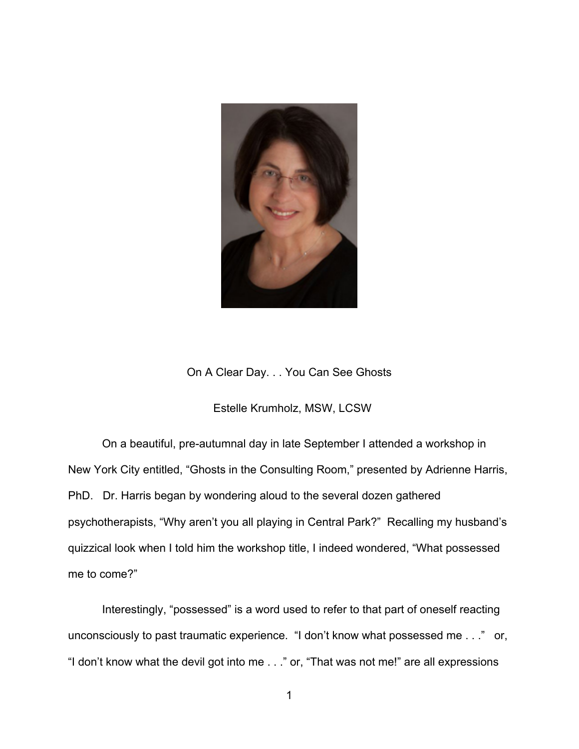

On A Clear Day. . . You Can See Ghosts

## Estelle Krumholz, MSW, LCSW

On a beautiful, pre-autumnal day in late September I attended a workshop in New York City entitled, "Ghosts in the Consulting Room," presented by Adrienne Harris, PhD. Dr. Harris began by wondering aloud to the several dozen gathered psychotherapists, "Why aren't you all playing in Central Park?" Recalling my husband's quizzical look when I told him the workshop title, I indeed wondered, "What possessed me to come?"

Interestingly, "possessed" is a word used to refer to that part of oneself reacting unconsciously to past traumatic experience. "I don't know what possessed me . . ." or, "I don't know what the devil got into me . . ." or, "That was not me!" are all expressions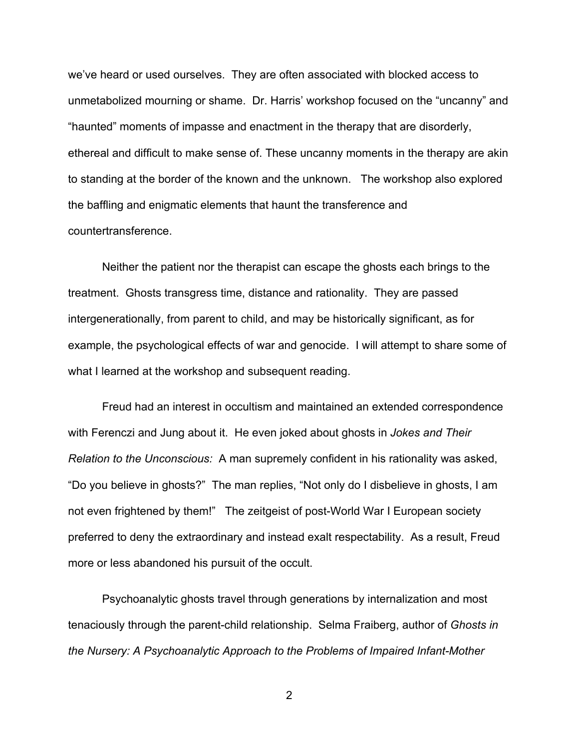we've heard or used ourselves. They are often associated with blocked access to unmetabolized mourning or shame. Dr. Harris' workshop focused on the "uncanny" and "haunted" moments of impasse and enactment in the therapy that are disorderly, ethereal and difficult to make sense of. These uncanny moments in the therapy are akin to standing at the border of the known and the unknown. The workshop also explored the baffling and enigmatic elements that haunt the transference and countertransference.

Neither the patient nor the therapist can escape the ghosts each brings to the treatment. Ghosts transgress time, distance and rationality. They are passed intergenerationally, from parent to child, and may be historically significant, as for example, the psychological effects of war and genocide. I will attempt to share some of what I learned at the workshop and subsequent reading.

Freud had an interest in occultism and maintained an extended correspondence with Ferenczi and Jung about it. He even joked about ghosts in *Jokes and Their Relation to the Unconscious:* A man supremely confident in his rationality was asked, "Do you believe in ghosts?" The man replies, "Not only do I disbelieve in ghosts, I am not even frightened by them!" The zeitgeist of post-World War I European society preferred to deny the extraordinary and instead exalt respectability. As a result, Freud more or less abandoned his pursuit of the occult.

Psychoanalytic ghosts travel through generations by internalization and most tenaciously through the parent-child relationship. Selma Fraiberg, author of *Ghosts in the Nursery: A Psychoanalytic Approach to the Problems of Impaired Infant-Mother*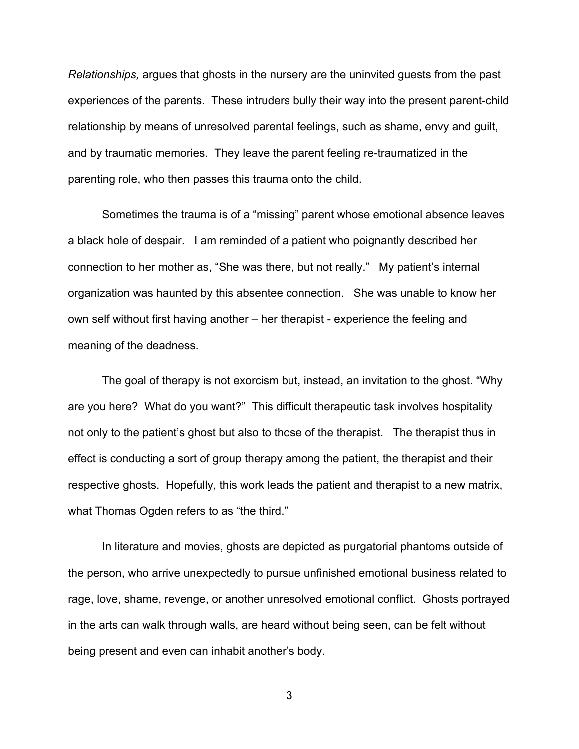*Relationships,* argues that ghosts in the nursery are the uninvited guests from the past experiences of the parents. These intruders bully their way into the present parent-child relationship by means of unresolved parental feelings, such as shame, envy and guilt, and by traumatic memories. They leave the parent feeling re-traumatized in the parenting role, who then passes this trauma onto the child.

Sometimes the trauma is of a "missing" parent whose emotional absence leaves a black hole of despair. I am reminded of a patient who poignantly described her connection to her mother as, "She was there, but not really." My patient's internal organization was haunted by this absentee connection. She was unable to know her own self without first having another – her therapist - experience the feeling and meaning of the deadness.

The goal of therapy is not exorcism but, instead, an invitation to the ghost. "Why are you here? What do you want?" This difficult therapeutic task involves hospitality not only to the patient's ghost but also to those of the therapist. The therapist thus in effect is conducting a sort of group therapy among the patient, the therapist and their respective ghosts. Hopefully, this work leads the patient and therapist to a new matrix, what Thomas Ogden refers to as "the third."

In literature and movies, ghosts are depicted as purgatorial phantoms outside of the person, who arrive unexpectedly to pursue unfinished emotional business related to rage, love, shame, revenge, or another unresolved emotional conflict. Ghosts portrayed in the arts can walk through walls, are heard without being seen, can be felt without being present and even can inhabit another's body.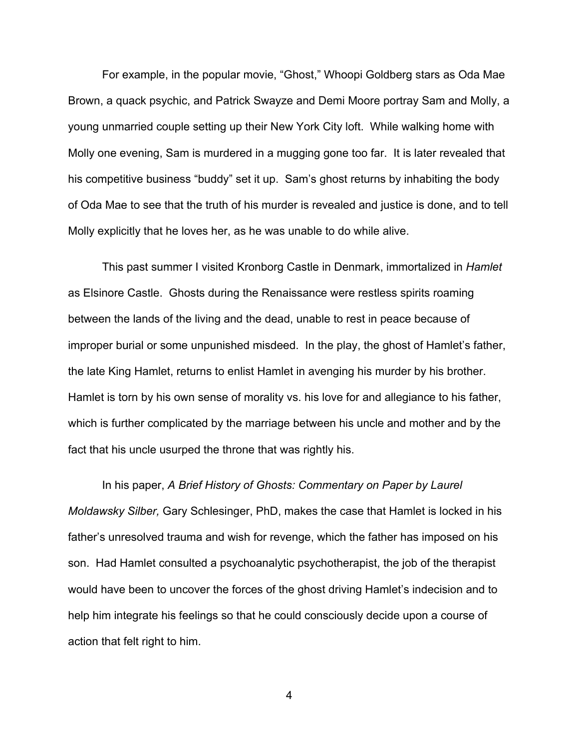For example, in the popular movie, "Ghost," Whoopi Goldberg stars as Oda Mae Brown, a quack psychic, and Patrick Swayze and Demi Moore portray Sam and Molly, a young unmarried couple setting up their New York City loft. While walking home with Molly one evening, Sam is murdered in a mugging gone too far. It is later revealed that his competitive business "buddy" set it up. Sam's ghost returns by inhabiting the body of Oda Mae to see that the truth of his murder is revealed and justice is done, and to tell Molly explicitly that he loves her, as he was unable to do while alive.

This past summer I visited Kronborg Castle in Denmark, immortalized in *Hamlet* as Elsinore Castle. Ghosts during the Renaissance were restless spirits roaming between the lands of the living and the dead, unable to rest in peace because of improper burial or some unpunished misdeed. In the play, the ghost of Hamlet's father, the late King Hamlet, returns to enlist Hamlet in avenging his murder by his brother. Hamlet is torn by his own sense of morality vs. his love for and allegiance to his father, which is further complicated by the marriage between his uncle and mother and by the fact that his uncle usurped the throne that was rightly his.

In his paper, *A Brief History of Ghosts: Commentary on Paper by Laurel Moldawsky Silber,* Gary Schlesinger, PhD, makes the case that Hamlet is locked in his father's unresolved trauma and wish for revenge, which the father has imposed on his son. Had Hamlet consulted a psychoanalytic psychotherapist, the job of the therapist would have been to uncover the forces of the ghost driving Hamlet's indecision and to help him integrate his feelings so that he could consciously decide upon a course of action that felt right to him.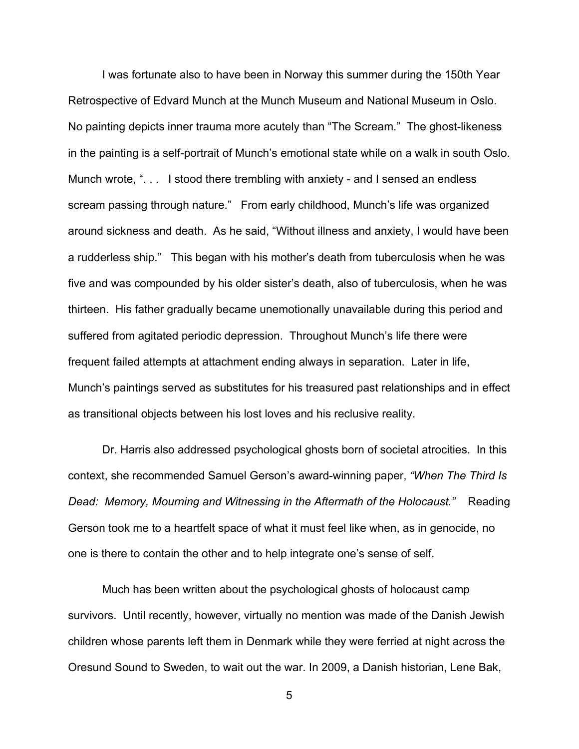I was fortunate also to have been in Norway this summer during the 150th Year Retrospective of Edvard Munch at the Munch Museum and National Museum in Oslo. No painting depicts inner trauma more acutely than "The Scream." The ghost-likeness in the painting is a self-portrait of Munch's emotional state while on a walk in south Oslo. Munch wrote, "... I stood there trembling with anxiety - and I sensed an endless scream passing through nature." From early childhood, Munch's life was organized around sickness and death. As he said, "Without illness and anxiety, I would have been a rudderless ship." This began with his mother's death from tuberculosis when he was five and was compounded by his older sister's death, also of tuberculosis, when he was thirteen. His father gradually became unemotionally unavailable during this period and suffered from agitated periodic depression. Throughout Munch's life there were frequent failed attempts at attachment ending always in separation. Later in life, Munch's paintings served as substitutes for his treasured past relationships and in effect as transitional objects between his lost loves and his reclusive reality.

Dr. Harris also addressed psychological ghosts born of societal atrocities. In this context, she recommended Samuel Gerson's award-winning paper, *"When The Third Is Dead: Memory, Mourning and Witnessing in the Aftermath of the Holocaust."* Reading Gerson took me to a heartfelt space of what it must feel like when, as in genocide, no one is there to contain the other and to help integrate one's sense of self.

Much has been written about the psychological ghosts of holocaust camp survivors. Until recently, however, virtually no mention was made of the Danish Jewish children whose parents left them in Denmark while they were ferried at night across the Oresund Sound to Sweden, to wait out the war. In 2009, a Danish historian, Lene Bak,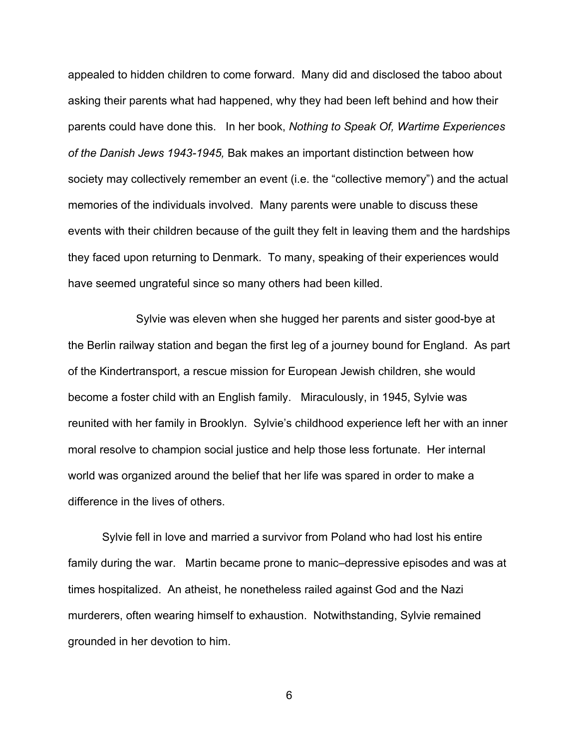appealed to hidden children to come forward. Many did and disclosed the taboo about asking their parents what had happened, why they had been left behind and how their parents could have done this. In her book, *Nothing to Speak Of, Wartime Experiences of the Danish Jews 1943-1945,* Bak makes an important distinction between how society may collectively remember an event (i.e. the "collective memory") and the actual memories of the individuals involved. Many parents were unable to discuss these events with their children because of the guilt they felt in leaving them and the hardships they faced upon returning to Denmark. To many, speaking of their experiences would have seemed ungrateful since so many others had been killed.

Sylvie was eleven when she hugged her parents and sister good-bye at the Berlin railway station and began the first leg of a journey bound for England. As part of the Kindertransport, a rescue mission for European Jewish children, she would become a foster child with an English family. Miraculously, in 1945, Sylvie was reunited with her family in Brooklyn. Sylvie's childhood experience left her with an inner moral resolve to champion social justice and help those less fortunate. Her internal world was organized around the belief that her life was spared in order to make a difference in the lives of others.

Sylvie fell in love and married a survivor from Poland who had lost his entire family during the war. Martin became prone to manic–depressive episodes and was at times hospitalized. An atheist, he nonetheless railed against God and the Nazi murderers, often wearing himself to exhaustion. Notwithstanding, Sylvie remained grounded in her devotion to him.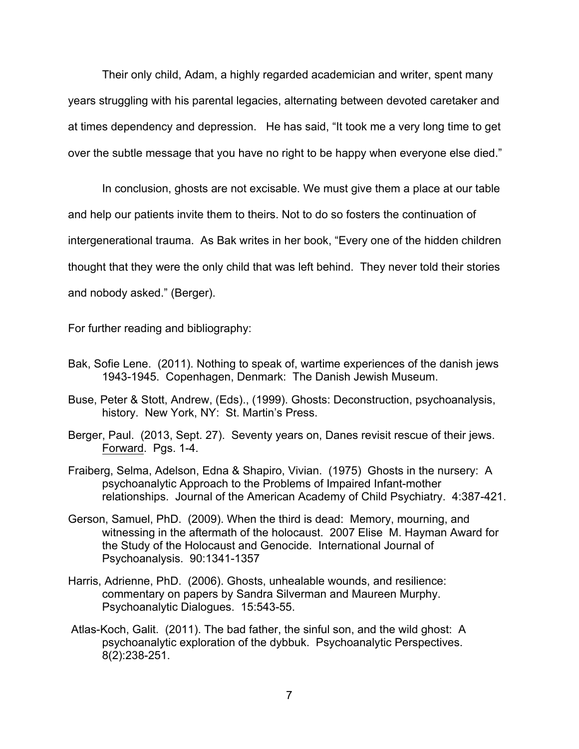Their only child, Adam, a highly regarded academician and writer, spent many years struggling with his parental legacies, alternating between devoted caretaker and at times dependency and depression. He has said, "It took me a very long time to get over the subtle message that you have no right to be happy when everyone else died."

In conclusion, ghosts are not excisable. We must give them a place at our table and help our patients invite them to theirs. Not to do so fosters the continuation of intergenerational trauma. As Bak writes in her book, "Every one of the hidden children thought that they were the only child that was left behind. They never told their stories and nobody asked." (Berger).

For further reading and bibliography:

- Bak, Sofie Lene. (2011). Nothing to speak of, wartime experiences of the danish jews 1943-1945. Copenhagen, Denmark: The Danish Jewish Museum.
- Buse, Peter & Stott, Andrew, (Eds)., (1999). Ghosts: Deconstruction, psychoanalysis, history. New York, NY: St. Martin's Press.
- Berger, Paul. (2013, Sept. 27). Seventy years on, Danes revisit rescue of their jews. Forward. Pgs. 1-4.
- Fraiberg, Selma, Adelson, Edna & Shapiro, Vivian. (1975) Ghosts in the nursery: A psychoanalytic Approach to the Problems of Impaired Infant-mother relationships. Journal of the American Academy of Child Psychiatry. 4:387-421.
- Gerson, Samuel, PhD. (2009). When the third is dead: Memory, mourning, and witnessing in the aftermath of the holocaust. 2007 Elise M. Hayman Award for the Study of the Holocaust and Genocide. International Journal of Psychoanalysis. 90:1341-1357
- Harris, Adrienne, PhD. (2006). Ghosts, unhealable wounds, and resilience: commentary on papers by Sandra Silverman and Maureen Murphy. Psychoanalytic Dialogues. 15:543-55.
- Atlas-Koch, Galit. (2011). The bad father, the sinful son, and the wild ghost: A psychoanalytic exploration of the dybbuk. Psychoanalytic Perspectives. 8(2):238-251.